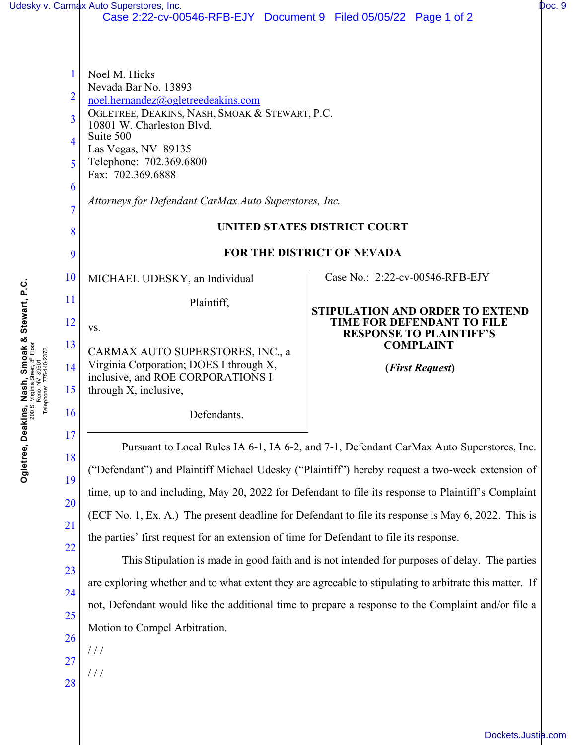|                                                                      |                                                                                                                                                                                                               | Udesky v. Carmax Auto Superstores, Inc.<br>Case 2:22-cv-00546-RFB-EJY Document 9 Filed 05/05/22 Page 1 of 2                                                                                                                                                                                                                                                                                                                                                                                                                                                                                                                                                            |                                                                                                                                                                                                                                                                                                                                                                                                                                                                                                                                                                                                                                                                                                                                                                                                                                                                                                                                                                                            | Doc. 9 |
|----------------------------------------------------------------------|---------------------------------------------------------------------------------------------------------------------------------------------------------------------------------------------------------------|------------------------------------------------------------------------------------------------------------------------------------------------------------------------------------------------------------------------------------------------------------------------------------------------------------------------------------------------------------------------------------------------------------------------------------------------------------------------------------------------------------------------------------------------------------------------------------------------------------------------------------------------------------------------|--------------------------------------------------------------------------------------------------------------------------------------------------------------------------------------------------------------------------------------------------------------------------------------------------------------------------------------------------------------------------------------------------------------------------------------------------------------------------------------------------------------------------------------------------------------------------------------------------------------------------------------------------------------------------------------------------------------------------------------------------------------------------------------------------------------------------------------------------------------------------------------------------------------------------------------------------------------------------------------------|--------|
| Stewart, P.C.<br>, Smoak &<br>elepho<br>vi<br>w<br>Ogletree, Deakins | 1<br>$\overline{2}$<br>$\overline{3}$<br>$\overline{\mathcal{A}}$<br>5<br>6<br>$\overline{7}$<br>8<br>9<br>10<br>11<br>12<br>13<br>14<br>15<br>16<br>17<br>18<br>19<br>20<br>21<br>22<br>23<br>24<br>25<br>26 | Noel M. Hicks<br>Nevada Bar No. 13893<br>noel.hernandez@ogletreedeakins.com<br>OGLETREE, DEAKINS, NASH, SMOAK & STEWART, P.C.<br>10801 W. Charleston Blvd.<br>Suite 500<br>Las Vegas, NV 89135<br>Telephone: 702.369.6800<br>Fax: 702.369.6888<br>Attorneys for Defendant CarMax Auto Superstores, Inc.<br>MICHAEL UDESKY, an Individual<br>Plaintiff,<br>VS.<br>CARMAX AUTO SUPERSTORES, INC., a<br>Virginia Corporation; DOES I through X,<br>inclusive, and ROE CORPORATIONS I<br>through X, inclusive,<br>Defendants.<br>the parties' first request for an extension of time for Defendant to file its response.<br>Motion to Compel Arbitration.<br>$\frac{1}{2}$ | UNITED STATES DISTRICT COURT<br><b>FOR THE DISTRICT OF NEVADA</b><br>Case No.: 2:22-cv-00546-RFB-EJY<br><b>STIPULATION AND ORDER TO EXTEND</b><br><b>TIME FOR DEFENDANT TO FILE</b><br><b>RESPONSE TO PLAINTIFF'S</b><br><b>COMPLAINT</b><br>(First Request)<br>Pursuant to Local Rules IA 6-1, IA 6-2, and 7-1, Defendant CarMax Auto Superstores, Inc.<br>"Defendant") and Plaintiff Michael Udesky ("Plaintiff") hereby request a two-week extension of<br>time, up to and including, May 20, 2022 for Defendant to file its response to Plaintiff's Complaint<br>(ECF No. 1, Ex. A.) The present deadline for Defendant to file its response is May 6, 2022. This is<br>This Stipulation is made in good faith and is not intended for purposes of delay. The parties<br>are exploring whether and to what extent they are agreeable to stipulating to arbitrate this matter. If<br>not, Defendant would like the additional time to prepare a response to the Complaint and/or file a |        |
|                                                                      | 27<br>28                                                                                                                                                                                                      | $^{\prime}$ / /                                                                                                                                                                                                                                                                                                                                                                                                                                                                                                                                                                                                                                                        |                                                                                                                                                                                                                                                                                                                                                                                                                                                                                                                                                                                                                                                                                                                                                                                                                                                                                                                                                                                            |        |

[Dockets.Justia.com](https://dockets.justia.com/)